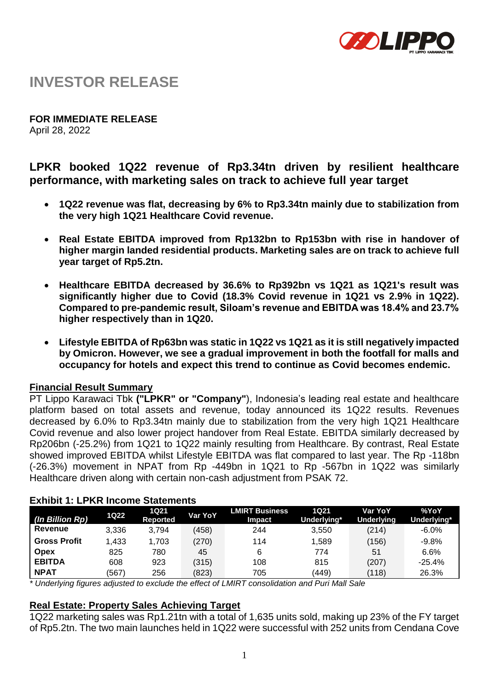

# **INVESTOR RELEASE**

**FOR IMMEDIATE RELEASE**

April 28, 2022

# **LPKR booked 1Q22 revenue of Rp3.34tn driven by resilient healthcare performance, with marketing sales on track to achieve full year target**

- **1Q22 revenue was flat, decreasing by 6% to Rp3.34tn mainly due to stabilization from the very high 1Q21 Healthcare Covid revenue.**
- **Real Estate EBITDA improved from Rp132bn to Rp153bn with rise in handover of higher margin landed residential products. Marketing sales are on track to achieve full year target of Rp5.2tn.**
- **Healthcare EBITDA decreased by 36.6% to Rp392bn vs 1Q21 as 1Q21's result was significantly higher due to Covid (18.3% Covid revenue in 1Q21 vs 2.9% in 1Q22). Compared to pre-pandemic result, Siloam's revenue and EBITDA was 18.4% and 23.7% higher respectively than in 1Q20.**
- **Lifestyle EBITDA of Rp63bn was static in 1Q22 vs 1Q21 as it is still negatively impacted by Omicron. However, we see a gradual improvement in both the footfall for malls and occupancy for hotels and expect this trend to continue as Covid becomes endemic.**

## **Financial Result Summary**

PT Lippo Karawaci Tbk **("LPKR" or "Company"**), Indonesia's leading real estate and healthcare platform based on total assets and revenue, today announced its 1Q22 results. Revenues decreased by 6.0% to Rp3.34tn mainly due to stabilization from the very high 1Q21 Healthcare Covid revenue and also lower project handover from Real Estate. EBITDA similarly decreased by Rp206bn (-25.2%) from 1Q21 to 1Q22 mainly resulting from Healthcare. By contrast, Real Estate showed improved EBITDA whilst Lifestyle EBITDA was flat compared to last year. The Rp -118bn (-26.3%) movement in NPAT from Rp -449bn in 1Q21 to Rp -567bn in 1Q22 was similarly Healthcare driven along with certain non-cash adjustment from PSAK 72.

| (In Billion Rp)     | 1Q22  | <b>1Q21</b><br><b>Reported</b> | Var YoY | <b>LMIRT Business</b><br><b>Impact</b> | 1021<br>Underlying* | Var YoY<br><b>Underlying</b> | %YoY<br>Underlying* |
|---------------------|-------|--------------------------------|---------|----------------------------------------|---------------------|------------------------------|---------------------|
| Revenue             | 3,336 | 3.794                          | (458)   | 244                                    | 3.550               | (214)                        | $-6.0%$             |
| <b>Gross Profit</b> | 1,433 | 1.703                          | (270)   | 114                                    | 1,589               | (156)                        | $-9.8%$             |
| <b>Opex</b>         | 825   | 780                            | 45      | 6                                      | 774                 | 51                           | 6.6%                |
| <b>EBITDA</b>       | 608   | 923                            | (315)   | 108                                    | 815                 | (207)                        | $-25.4%$            |
| <b>NPAT</b>         | (567) | 256                            | (823)   | 705                                    | (449)               | (118)                        | 26.3%               |

## **Exhibit 1: LPKR Income Statements**

*\* Underlying figures adjusted to exclude the effect of LMIRT consolidation and Puri Mall Sale*

## **Real Estate: Property Sales Achieving Target**

1Q22 marketing sales was Rp1.21tn with a total of 1,635 units sold, making up 23% of the FY target of Rp5.2tn. The two main launches held in 1Q22 were successful with 252 units from Cendana Cove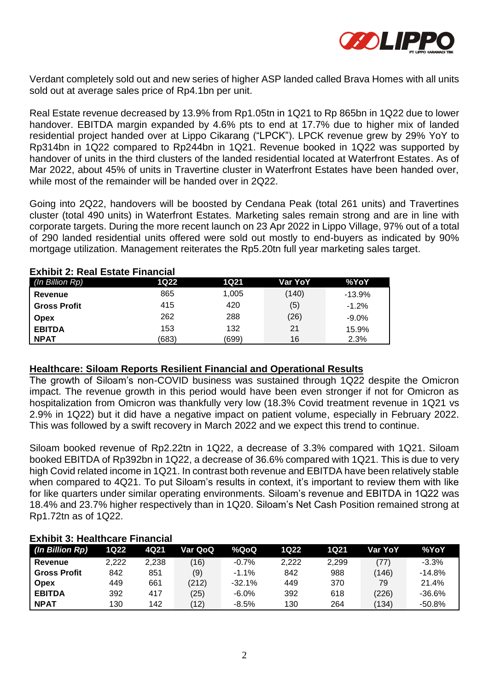

Verdant completely sold out and new series of higher ASP landed called Brava Homes with all units sold out at average sales price of Rp4.1bn per unit.

Real Estate revenue decreased by 13.9% from Rp1.05tn in 1Q21 to Rp 865bn in 1Q22 due to lower handover. EBITDA margin expanded by 4.6% pts to end at 17.7% due to higher mix of landed residential project handed over at Lippo Cikarang ("LPCK"). LPCK revenue grew by 29% YoY to Rp314bn in 1Q22 compared to Rp244bn in 1Q21. Revenue booked in 1Q22 was supported by handover of units in the third clusters of the landed residential located at Waterfront Estates. As of Mar 2022, about 45% of units in Travertine cluster in Waterfront Estates have been handed over, while most of the remainder will be handed over in 2Q22.

Going into 2Q22, handovers will be boosted by Cendana Peak (total 261 units) and Travertines cluster (total 490 units) in Waterfront Estates. Marketing sales remain strong and are in line with corporate targets. During the more recent launch on 23 Apr 2022 in Lippo Village, 97% out of a total of 290 landed residential units offered were sold out mostly to end-buyers as indicated by 90% mortgage utilization. Management reiterates the Rp5.20tn full year marketing sales target.

| <b>LAIDRA, INGH LOUGH I HIGHVIGH</b> |       |       |         |          |  |  |  |
|--------------------------------------|-------|-------|---------|----------|--|--|--|
| (In Billion Rp)                      | 1Q22  | 1Q21  | Var YoY | %YoY     |  |  |  |
| Revenue                              | 865   | 1,005 | (140)   | $-13.9%$ |  |  |  |
| <b>Gross Profit</b>                  | 415   | 420   | (5)     | $-1.2%$  |  |  |  |
| <b>Opex</b>                          | 262   | 288   | (26)    | $-9.0\%$ |  |  |  |
| <b>EBITDA</b>                        | 153   | 132   | 21      | 15.9%    |  |  |  |
| <b>NPAT</b>                          | (683) | (699) | 16      | 2.3%     |  |  |  |

#### **Exhibit 2: Real Estate Financial**

## **Healthcare: Siloam Reports Resilient Financial and Operational Results**

The growth of Siloam's non-COVID business was sustained through 1Q22 despite the Omicron impact. The revenue growth in this period would have been even stronger if not for Omicron as hospitalization from Omicron was thankfully very low (18.3% Covid treatment revenue in 1Q21 vs 2.9% in 1Q22) but it did have a negative impact on patient volume, especially in February 2022. This was followed by a swift recovery in March 2022 and we expect this trend to continue.

Siloam booked revenue of Rp2.22tn in 1Q22, a decrease of 3.3% compared with 1Q21. Siloam booked EBITDA of Rp392bn in 1Q22, a decrease of 36.6% compared with 1Q21. This is due to very high Covid related income in 1Q21. In contrast both revenue and EBITDA have been relatively stable when compared to 4Q21. To put Siloam's results in context, it's important to review them with like for like quarters under similar operating environments. Siloam's revenue and EBITDA in 1Q22 was 18.4% and 23.7% higher respectively than in 1Q20. Siloam's Net Cash Position remained strong at Rp1.72tn as of 1Q22.

#### **Exhibit 3: Healthcare Financial**

| (In Billion Rp)     | 1Q22  | 4Q21  | Var QoQ | %QoQ     | 1Q22  | 1Q21  | Var YoY | %YoY     |
|---------------------|-------|-------|---------|----------|-------|-------|---------|----------|
| Revenue             | 2.222 | 2,238 | (16)    | $-0.7%$  | 2.222 | 2.299 | (77)    | $-3.3%$  |
| <b>Gross Profit</b> | 842   | 851   | (9)     | $-1.1%$  | 842   | 988   | (146)   | $-14.8%$ |
| Opex                | 449   | 661   | (212)   | $-32.1%$ | 449   | 370   | 79      | 21.4%    |
| <b>EBITDA</b>       | 392   | 417   | (25)    | $-6.0%$  | 392   | 618   | (226)   | $-36.6%$ |
| <b>NPAT</b>         | 130   | 142   | (12)    | $-8.5%$  | 130   | 264   | (134)   | $-50.8%$ |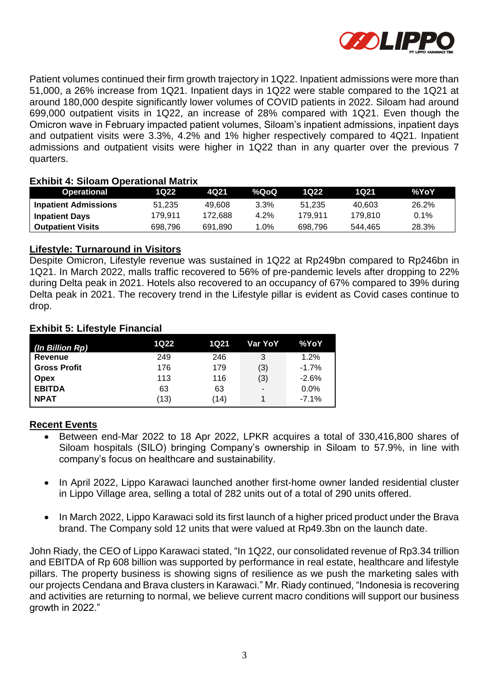

Patient volumes continued their firm growth trajectory in 1Q22. Inpatient admissions were more than 51,000, a 26% increase from 1Q21. Inpatient days in 1Q22 were stable compared to the 1Q21 at around 180,000 despite significantly lower volumes of COVID patients in 2022. Siloam had around 699,000 outpatient visits in 1Q22, an increase of 28% compared with 1Q21. Even though the Omicron wave in February impacted patient volumes, Siloam's inpatient admissions, inpatient days and outpatient visits were 3.3%, 4.2% and 1% higher respectively compared to 4Q21. Inpatient admissions and outpatient visits were higher in 1Q22 than in any quarter over the previous 7 quarters.

## **Exhibit 4: Siloam Operational Matrix**

| <b>Operational</b>          | 1022    | 4021    | %QoQ   | 1022.   | 1021    | %YoY  |
|-----------------------------|---------|---------|--------|---------|---------|-------|
| <b>Inpatient Admissions</b> | 51.235  | 49.608  | 3.3%   | 51.235  | 40.603  | 26.2% |
| <b>Inpatient Days</b>       | 179.911 | 172.688 | 4.2%   | 179.911 | 179.810 | 0.1%  |
| <b>Outpatient Visits</b>    | 698.796 | 691.890 | $.0\%$ | 698.796 | 544.465 | 28.3% |

#### **Lifestyle: Turnaround in Visitors**

Despite Omicron, Lifestyle revenue was sustained in 1Q22 at Rp249bn compared to Rp246bn in 1Q21. In March 2022, malls traffic recovered to 56% of pre-pandemic levels after dropping to 22% during Delta peak in 2021. Hotels also recovered to an occupancy of 67% compared to 39% during Delta peak in 2021. The recovery trend in the Lifestyle pillar is evident as Covid cases continue to drop.

#### **Exhibit 5: Lifestyle Financial**

| (In Billion Rp)     | 1Q22 | 1Q21 | Var YoY        | %YoY     |
|---------------------|------|------|----------------|----------|
| Revenue             | 249  | 246  | 3              | 1.2%     |
| <b>Gross Profit</b> | 176  | 179  | (3)            | $-1.7%$  |
| <b>Opex</b>         | 113  | 116  | (3)            | $-2.6%$  |
| <b>EBITDA</b>       | 63   | 63   | $\blacksquare$ | $0.0\%$  |
| <b>NPAT</b>         | (13) | (14) |                | $-7.1\%$ |

## **Recent Events**

- Between end-Mar 2022 to 18 Apr 2022, LPKR acquires a total of 330,416,800 shares of Siloam hospitals (SILO) bringing Company's ownership in Siloam to 57.9%, in line with company's focus on healthcare and sustainability.
- In April 2022, Lippo Karawaci launched another first-home owner landed residential cluster in Lippo Village area, selling a total of 282 units out of a total of 290 units offered.
- In March 2022, Lippo Karawaci sold its first launch of a higher priced product under the Brava brand. The Company sold 12 units that were valued at Rp49.3bn on the launch date.

John Riady, the CEO of Lippo Karawaci stated, "In 1Q22, our consolidated revenue of Rp3.34 trillion and EBITDA of Rp 608 billion was supported by performance in real estate, healthcare and lifestyle pillars. The property business is showing signs of resilience as we push the marketing sales with our projects Cendana and Brava clusters in Karawaci." Mr. Riady continued, "Indonesia is recovering and activities are returning to normal, we believe current macro conditions will support our business growth in 2022."